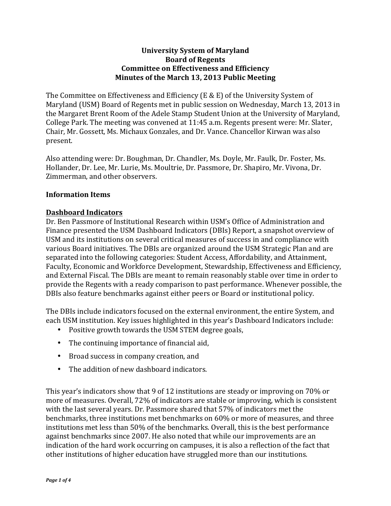### **University System of Maryland Board of Regents Committee on Effectiveness and Efficiency Minutes of the March 13, 2013 Public Meeting**

The Committee on Effectiveness and Efficiency (E & E) of the University System of Maryland (USM) Board of Regents met in public session on Wednesday, March 13, 2013 in the Margaret Brent Room of the Adele Stamp Student Union at the University of Maryland, College Park. The meeting was convened at 11:45 a.m. Regents present were: Mr. Slater, Chair, Mr. Gossett, Ms. Michaux Gonzales, and Dr. Vance, Chancellor Kirwan was also present. 

Also attending were: Dr. Boughman, Dr. Chandler, Ms. Doyle, Mr. Faulk, Dr. Foster, Ms. Hollander, Dr. Lee, Mr. Lurie, Ms. Moultrie, Dr. Passmore, Dr. Shapiro, Mr. Vivona, Dr. Zimmerman, and other observers.

# **Information Items**

# **Dashboard Indicators**

Dr. Ben Passmore of Institutional Research within USM's Office of Administration and Finance presented the USM Dashboard Indicators (DBIs) Report, a snapshot overview of USM and its institutions on several critical measures of success in and compliance with various Board initiatives. The DBIs are organized around the USM Strategic Plan and are separated into the following categories: Student Access, Affordability, and Attainment, Faculty, Economic and Workforce Development, Stewardship, Effectiveness and Efficiency, and External Fiscal. The DBIs are meant to remain reasonably stable over time in order to provide the Regents with a ready comparison to past performance. Whenever possible, the DBIs also feature benchmarks against either peers or Board or institutional policy.

The DBIs include indicators focused on the external environment, the entire System, and each USM institution. Key issues highlighted in this year's Dashboard Indicators include:

- Positive growth towards the USM STEM degree goals,
- The continuing importance of financial aid,
- Broad success in company creation, and
- The addition of new dashboard indicators.

This year's indicators show that 9 of 12 institutions are steady or improving on 70% or more of measures. Overall, 72% of indicators are stable or improving, which is consistent with the last several years. Dr. Passmore shared that 57% of indicators met the benchmarks, three institutions met benchmarks on 60% or more of measures, and three institutions met less than 50% of the benchmarks. Overall, this is the best performance against benchmarks since 2007. He also noted that while our improvements are an indication of the hard work occurring on campuses, it is also a reflection of the fact that other institutions of higher education have struggled more than our institutions.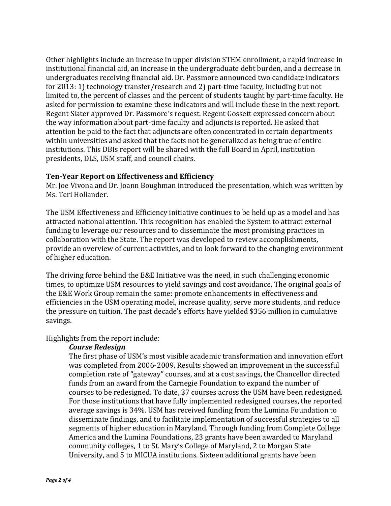Other highlights include an increase in upper division STEM enrollment, a rapid increase in institutional financial aid, an increase in the undergraduate debt burden, and a decrease in undergraduates receiving financial aid. Dr. Passmore announced two candidate indicators for  $2013: 1$ ) technology transfer/research and 2) part-time faculty, including but not limited to, the percent of classes and the percent of students taught by part-time faculty. He asked for permission to examine these indicators and will include these in the next report. Regent Slater approved Dr. Passmore's request. Regent Gossett expressed concern about the way information about part-time faculty and adjuncts is reported. He asked that attention be paid to the fact that adjuncts are often concentrated in certain departments within universities and asked that the facts not be generalized as being true of entire institutions. This DBIs report will be shared with the full Board in April, institution presidents, DLS, USM staff, and council chairs.

#### **Ten-Year Report on Effectiveness and Efficiency**

Mr. Joe Vivona and Dr. Joann Boughman introduced the presentation, which was written by Ms. Teri Hollander.

The USM Effectiveness and Efficiency initiative continues to be held up as a model and has attracted national attention. This recognition has enabled the System to attract external funding to leverage our resources and to disseminate the most promising practices in collaboration with the State. The report was developed to review accomplishments, provide an overview of current activities, and to look forward to the changing environment of higher education.

The driving force behind the E&E Initiative was the need, in such challenging economic times, to optimize USM resources to yield savings and cost avoidance. The original goals of the E&E Work Group remain the same: promote enhancements in effectiveness and efficiencies in the USM operating model, increase quality, serve more students, and reduce the pressure on tuition. The past decade's efforts have yielded \$356 million in cumulative savings.

Highlights from the report include:

# *Course Redesign*

The first phase of USM's most visible academic transformation and innovation effort was completed from 2006-2009. Results showed an improvement in the successful completion rate of "gateway" courses, and at a cost savings, the Chancellor directed funds from an award from the Carnegie Foundation to expand the number of courses to be redesigned. To date, 37 courses across the USM have been redesigned. For those institutions that have fully implemented redesigned courses, the reported average savings is 34%. USM has received funding from the Lumina Foundation to disseminate findings, and to facilitate implementation of successful strategies to all segments of higher education in Maryland. Through funding from Complete College America and the Lumina Foundations, 23 grants have been awarded to Maryland community colleges, 1 to St. Mary's College of Maryland, 2 to Morgan State University, and 5 to MICUA institutions. Sixteen additional grants have been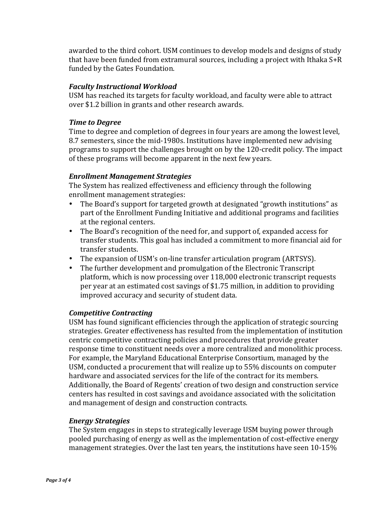awarded to the third cohort. USM continues to develop models and designs of study that have been funded from extramural sources, including a project with Ithaka  $S+R$ funded by the Gates Foundation.

# **Faculty Instructional Workload**

USM has reached its targets for faculty workload, and faculty were able to attract over \$1.2 billion in grants and other research awards.

### **Time** to Degree

Time to degree and completion of degrees in four years are among the lowest level, 8.7 semesters, since the mid-1980s. Institutions have implemented new advising programs to support the challenges brought on by the 120-credit policy. The impact of these programs will become apparent in the next few years.

# *Enrollment Management Strategies*

The System has realized effectiveness and efficiency through the following enrollment management strategies:

- The Board's support for targeted growth at designated "growth institutions" as part of the Enrollment Funding Initiative and additional programs and facilities at the regional centers.
- The Board's recognition of the need for, and support of, expanded access for transfer students. This goal has included a commitment to more financial aid for transfer students.
- The expansion of USM's on-line transfer articulation program (ARTSYS).
- The further development and promulgation of the Electronic Transcript platform, which is now processing over 118,000 electronic transcript requests per year at an estimated cost savings of \$1.75 million, in addition to providing improved accuracy and security of student data.

# *Competitive Contracting*

USM has found significant efficiencies through the application of strategic sourcing strategies. Greater effectiveness has resulted from the implementation of institution centric competitive contracting policies and procedures that provide greater response time to constituent needs over a more centralized and monolithic process. For example, the Maryland Educational Enterprise Consortium, managed by the USM, conducted a procurement that will realize up to 55% discounts on computer hardware and associated services for the life of the contract for its members. Additionally, the Board of Regents' creation of two design and construction service centers has resulted in cost savings and avoidance associated with the solicitation and management of design and construction contracts.

# *Energy Strategies*

The System engages in steps to strategically leverage USM buying power through pooled purchasing of energy as well as the implementation of cost-effective energy management strategies. Over the last ten years, the institutions have seen  $10-15%$